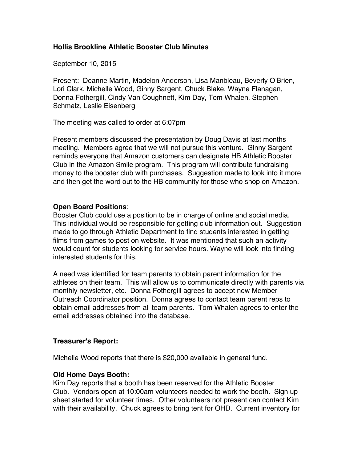# **Hollis Brookline Athletic Booster Club Minutes**

September 10, 2015

Present: Deanne Martin, Madelon Anderson, Lisa Manbleau, Beverly O'Brien, Lori Clark, Michelle Wood, Ginny Sargent, Chuck Blake, Wayne Flanagan, Donna Fothergill, Cindy Van Coughnett, Kim Day, Tom Whalen, Stephen Schmalz, Leslie Eisenberg

The meeting was called to order at 6:07pm

Present members discussed the presentation by Doug Davis at last months meeting. Members agree that we will not pursue this venture. Ginny Sargent reminds everyone that Amazon customers can designate HB Athletic Booster Club in the Amazon Smile program. This program will contribute fundraising money to the booster club with purchases. Suggestion made to look into it more and then get the word out to the HB community for those who shop on Amazon.

## **Open Board Positions**:

Booster Club could use a position to be in charge of online and social media. This individual would be responsible for getting club information out. Suggestion made to go through Athletic Department to find students interested in getting films from games to post on website. It was mentioned that such an activity would count for students looking for service hours. Wayne will look into finding interested students for this.

A need was identified for team parents to obtain parent information for the athletes on their team. This will allow us to communicate directly with parents via monthly newsletter, etc. Donna Fothergill agrees to accept new Member Outreach Coordinator position. Donna agrees to contact team parent reps to obtain email addresses from all team parents. Tom Whalen agrees to enter the email addresses obtained into the database.

## **Treasurer's Report:**

Michelle Wood reports that there is \$20,000 available in general fund.

## **Old Home Days Booth:**

Kim Day reports that a booth has been reserved for the Athletic Booster Club. Vendors open at 10:00am volunteers needed to work the booth. Sign up sheet started for volunteer times. Other volunteers not present can contact Kim with their availability. Chuck agrees to bring tent for OHD. Current inventory for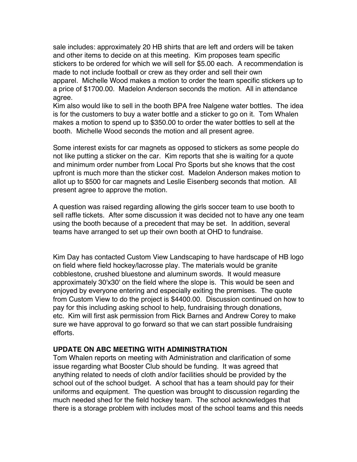sale includes: approximately 20 HB shirts that are left and orders will be taken and other items to decide on at this meeting. Kim proposes team specific stickers to be ordered for which we will sell for \$5.00 each. A recommendation is made to not include football or crew as they order and sell their own apparel. Michelle Wood makes a motion to order the team specific stickers up to a price of \$1700.00. Madelon Anderson seconds the motion. All in attendance agree.

Kim also would like to sell in the booth BPA free Nalgene water bottles. The idea is for the customers to buy a water bottle and a sticker to go on it. Tom Whalen makes a motion to spend up to \$350.00 to order the water bottles to sell at the booth. Michelle Wood seconds the motion and all present agree.

Some interest exists for car magnets as opposed to stickers as some people do not like putting a sticker on the car. Kim reports that she is waiting for a quote and minimum order number from Local Pro Sports but she knows that the cost upfront is much more than the sticker cost. Madelon Anderson makes motion to allot up to \$500 for car magnets and Leslie Eisenberg seconds that motion. All present agree to approve the motion.

A question was raised regarding allowing the girls soccer team to use booth to sell raffle tickets. After some discussion it was decided not to have any one team using the booth because of a precedent that may be set. In addition, several teams have arranged to set up their own booth at OHD to fundraise.

Kim Day has contacted Custom View Landscaping to have hardscape of HB logo on field where field hockey/lacrosse play. The materials would be granite cobblestone, crushed bluestone and aluminum swords. It would measure approximately 30'x30' on the field where the slope is. This would be seen and enjoyed by everyone entering and especially exiting the premises. The quote from Custom View to do the project is \$4400.00. Discussion continued on how to pay for this including asking school to help, fundraising through donations, etc. Kim will first ask permission from Rick Barnes and Andrew Corey to make sure we have approval to go forward so that we can start possible fundraising efforts.

### **UPDATE ON ABC MEETING WITH ADMINISTRATION**

Tom Whalen reports on meeting with Administration and clarification of some issue regarding what Booster Club should be funding. It was agreed that anything related to needs of cloth and/or facilities should be provided by the school out of the school budget. A school that has a team should pay for their uniforms and equipment. The question was brought to discussion regarding the much needed shed for the field hockey team. The school acknowledges that there is a storage problem with includes most of the school teams and this needs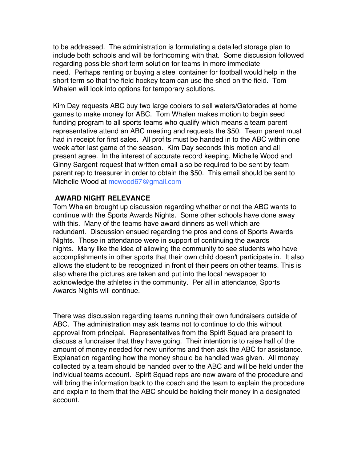to be addressed. The administration is formulating a detailed storage plan to include both schools and will be forthcoming with that. Some discussion followed regarding possible short term solution for teams in more immediate need. Perhaps renting or buying a steel container for football would help in the short term so that the field hockey team can use the shed on the field. Tom Whalen will look into options for temporary solutions.

Kim Day requests ABC buy two large coolers to sell waters/Gatorades at home games to make money for ABC. Tom Whalen makes motion to begin seed funding program to all sports teams who qualify which means a team parent representative attend an ABC meeting and requests the \$50. Team parent must had in receipt for first sales. All profits must be handed in to the ABC within one week after last game of the season. Kim Day seconds this motion and all present agree. In the interest of accurate record keeping, Michelle Wood and Ginny Sargent request that written email also be required to be sent by team parent rep to treasurer in order to obtain the \$50. This email should be sent to Michelle Wood at mcwood67@gmail.com

## **AWARD NIGHT RELEVANCE**

Tom Whalen brought up discussion regarding whether or not the ABC wants to continue with the Sports Awards Nights. Some other schools have done away with this. Many of the teams have award dinners as well which are redundant. Discussion ensued regarding the pros and cons of Sports Awards Nights. Those in attendance were in support of continuing the awards nights. Many like the idea of allowing the community to see students who have accomplishments in other sports that their own child doesn't participate in. It also allows the student to be recognized in front of their peers on other teams. This is also where the pictures are taken and put into the local newspaper to acknowledge the athletes in the community. Per all in attendance, Sports Awards Nights will continue.

There was discussion regarding teams running their own fundraisers outside of ABC. The administration may ask teams not to continue to do this without approval from principal. Representatives from the Spirit Squad are present to discuss a fundraiser that they have going. Their intention is to raise half of the amount of money needed for new uniforms and then ask the ABC for assistance. Explanation regarding how the money should be handled was given. All money collected by a team should be handed over to the ABC and will be held under the individual teams account. Spirit Squad reps are now aware of the procedure and will bring the information back to the coach and the team to explain the procedure and explain to them that the ABC should be holding their money in a designated account.